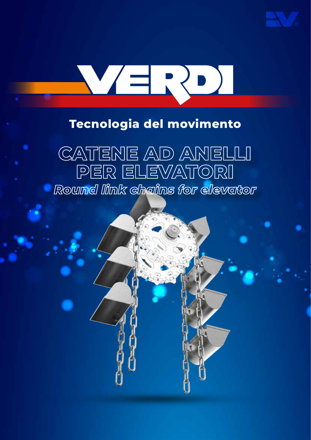

# WERDI

# **Tecnologia del movimento**

# **CATENE AD ANELLI PER ELEVATORI** *Round link chains for elevator*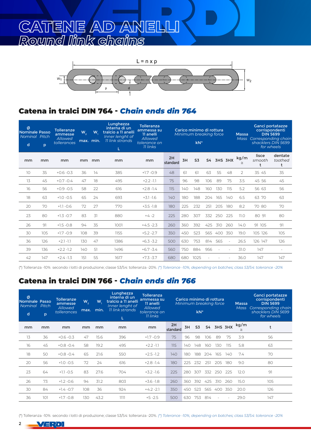# **CATENE AD ANELLI** *Round link chains*



### Catena in tralci DIN 764 - *Chain ends din 764*

| ø<br>Nominale Passo<br>Nominal Pitch<br>d | p   | <b>Tolleranze</b><br>ammesse<br>Allowed<br>tollerances | W <sub>2</sub> | W.<br>max. min. | Lunghezza<br>interna di un<br>tralcio a 11 anelli<br>Inner lenght of<br>11 link strands<br>L | <b>Tolleranza</b><br>ammessa su<br>11 anelli<br>Allowed<br>tolerance on<br>11 links |                |     | Carico minimo di rottura<br>Minimum breaking force<br>$kN^*$ |     |            |        | <b>Massa</b><br><b>Mass</b> | Ganci portatazze<br>corrispondenti<br><b>DIN 5699</b><br>Corresponding chain<br>shacklers DIN 5699<br>for wheels |                         |
|-------------------------------------------|-----|--------------------------------------------------------|----------------|-----------------|----------------------------------------------------------------------------------------------|-------------------------------------------------------------------------------------|----------------|-----|--------------------------------------------------------------|-----|------------|--------|-----------------------------|------------------------------------------------------------------------------------------------------------------|-------------------------|
| mm                                        | mm  | mm                                                     | mm             | mm              | mm                                                                                           | mm                                                                                  | 2H<br>standard | 3H  | S <sub>3</sub>                                               |     | S4 3HS 3HX |        | kg/m<br>$\cong$             | lisce<br>smooth<br>t                                                                                             | dentate<br>toothed<br>t |
| 10                                        | 35  | $+0.6 -0.3$                                            | 36             | 14              | 385                                                                                          | $+1.7 -0.9$                                                                         | 48             | 61  | 61                                                           | 63  | 55         | 48     | $\overline{2}$              | 35 45                                                                                                            | 35                      |
| 13                                        | 45  | $+0.7 - 0.4$                                           | 47             | 18              | 495                                                                                          | $+2.2 -1.1$                                                                         | 75             | 96  | 98                                                           | 106 | 89         | 75     | 3.5                         | 45 56                                                                                                            | 45                      |
| 16                                        | 56  | $+0.9 -0.5$                                            | 58             | 22              | 616                                                                                          | $+2.8 -1.4$                                                                         | 115            | 140 | 148                                                          | 160 | 130        | 115    | 5.2                         | 56 63                                                                                                            | 56                      |
| 18                                        | 63  | $+1.0 -0.5$                                            | 65             | 24              | 693                                                                                          | $+3.1 -1.6$                                                                         | 140            | 180 | 188                                                          | 204 | 165        | 140    | 6.5                         | 63 70                                                                                                            | 63                      |
| 20                                        | 70  | $+1.1 - 0.6$                                           | 72             | 27              | 770                                                                                          | $+3.5 -1.8$                                                                         | 180            | 225 | 232                                                          | 251 | 205        | 180    | 8.2                         | 70 80                                                                                                            | 70                      |
| 23                                        | 80  | $+1.3 -0.7$                                            | 83             | 31              | 880                                                                                          | $+4-2$                                                                              | 225            | 280 | 307                                                          | 332 | 250        | 225    | 11.0                        | 80 91                                                                                                            | 80                      |
| 26                                        | 91  | $+1.5 - 0.8$                                           | 94             | 35              | 1001                                                                                         | $+4.5 -2.3$                                                                         | 260            | 360 | 392                                                          | 425 | 310        | 260    | 14.0                        | 91 105                                                                                                           | 91                      |
| 30                                        | 105 | $+1.7 -0.9$                                            | 108            | 39              | 1155                                                                                         | $+5.2 -2.7$                                                                         | 350            | 450 | 523                                                          | 565 | 400        | 350    | 19.0                        | 105 126                                                                                                          | 105                     |
| 36                                        | 126 | $+2.1 -1.1$                                            | 130            | 47              | 1386                                                                                         | $+6.3 - 3.2$                                                                        | 500            | 630 | 753                                                          | 814 | 565        | $\sim$ | 26.5                        | 126 147                                                                                                          | 126                     |
| 39                                        | 136 | $+2.2 - 1.2$                                           | 140            | 51              | 1496                                                                                         | $+6.7 - 3.4$                                                                        | 560            | 750 | 884                                                          | 956 |            |        | 31.0                        | 147                                                                                                              |                         |
| 42                                        | 147 | $+2.4 -1.3$                                            | 151            | 55              | 1617                                                                                         | $+7.3 - 3.7$                                                                        | 680            | 680 | 1025                                                         |     |            |        | 36.0                        | 147                                                                                                              | 147                     |

(\*) Tolleranza -10% secondo i lotti di produzione; classe S3/S4: tolleranza -20%. *(\*) Tolerance -10%, depending on batches; class S3/S4: tolerance -20%*

### Catena in tralci DIN 766 - *Chain ends din 766*

| ø<br>Nominale Passo<br>Nominal<br>d | Pitch<br>p | <b>Tolleranze</b><br>ammesse<br>Allowed<br>tollerances | $W_{2}$<br>max. | W,<br>min. | Lunghezza<br>interna di un<br>tralcio a 11 anelli<br>Inner lenght of<br>11 link strands<br>L | <b>Tolleranza</b><br>ammessa su<br>11 anelli<br>Allowed<br>tolerance on<br><b>11 links</b> |                |     | $kN^*$         |     | Carico minimo di rottura<br>Minimum breaking force |     | <b>Massa</b> | Ganci portatazze<br>corrispondenti<br><b>DIN 5699</b><br>Mass Corresponding chain<br>shacklers DIN 5699<br>for wheels |
|-------------------------------------|------------|--------------------------------------------------------|-----------------|------------|----------------------------------------------------------------------------------------------|--------------------------------------------------------------------------------------------|----------------|-----|----------------|-----|----------------------------------------------------|-----|--------------|-----------------------------------------------------------------------------------------------------------------------|
| mm                                  | mm         | mm                                                     | mm              | mm         | mm                                                                                           | mm                                                                                         | 2H<br>standard | 3H  | S <sub>3</sub> |     | S4 3HS 3HX                                         |     | kg/m         |                                                                                                                       |
| 13                                  | 36         | $+0.6 -0.3$                                            | 47              | 15.6       | 396                                                                                          | $+1.7 -0.9$                                                                                | 75             | 96  | 98             | 106 | 89                                                 | 75  | 3.9          | 56                                                                                                                    |
| 16                                  | 45         | $+0.8 - 0.4$                                           | 58              | 19.2       | 495                                                                                          | $+2.2 -1.1$                                                                                | 115            | 140 | 148            | 160 | 130                                                | 115 | 5.8          | 63                                                                                                                    |
| 18                                  | 50         | $+0.8 - 0.4$                                           | 65              | 21.6       | 550                                                                                          | $+2.5 - 1.2$                                                                               | 140            | 180 | 188            | 204 | 165                                                | 140 | 7.4          | 70                                                                                                                    |
| 20                                  | 56         | $+1.0 -0.5$                                            | 72              | 24         | 616                                                                                          | $+2.8 - 1.4$                                                                               | 180            | 225 | 232            | 251 | 205                                                | 180 | 9.0          | 80                                                                                                                    |
| 23                                  | 64         | $+1.1 -0.5$                                            | 83              | 27.6       | 704                                                                                          | $+3.2 -1.6$                                                                                | 225            | 280 | 307            | 332 | 250                                                | 225 | 12.0         | 91                                                                                                                    |
| 26                                  | 73         | $+1.2 -0.6$                                            | 94              | 31.2       | 803                                                                                          | $+3.6 -1.8$                                                                                | 260            | 360 | 392            | 425 | 310                                                | 260 | 15.0         | 105                                                                                                                   |
| 30                                  | 84         | $+1.4 -0.7$                                            | 108             | 36         | 924                                                                                          | $+4.2 -2.1$                                                                                | 350            | 450 | 523            | 565 | 400                                                | 350 | 20.0         | 126                                                                                                                   |
| 36                                  | 101        | $+1.7 -0.8$                                            | 130             | 43.2       | 1111                                                                                         | $+5 - 2.5$                                                                                 | 500            | 630 | 753            | 814 |                                                    |     | 29.0         | 147                                                                                                                   |

<sup>(\*)</sup> Tolleranza -10% secondo i lotti di produzione; classe S3/S4: tolleranza -20%. *(\*) Tolerance -10%, depending on batches; class S3/S4: tolerance -20%*

ノヨ ソデ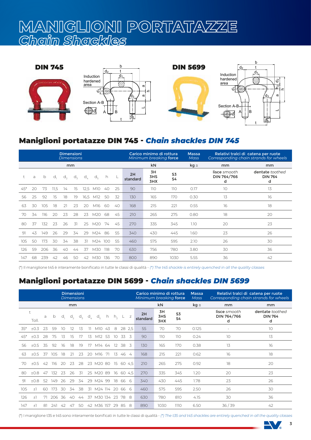# **MANIGLIONI PORTATAZZE** *Chain Shackles*



### Maniglioni portatazze DIN 745 - *Chain shackles DIN 745*

|       |    |     |      | <b>Dimensioni</b><br><b>Dimensions</b> |             |               |              |      |    |                | Carico minimo di rottura<br>Minimum breaking force |                      | <b>Massa</b><br><b>Mass</b> |                                  | Relativi tralci di catena per ruote<br>Corresponding chain strands for wheels |
|-------|----|-----|------|----------------------------------------|-------------|---------------|--------------|------|----|----------------|----------------------------------------------------|----------------------|-----------------------------|----------------------------------|-------------------------------------------------------------------------------|
|       |    |     |      |                                        | mm          |               |              |      |    |                | kN                                                 |                      | $kg \approx$                | mm                               | mm                                                                            |
|       | a  | b   | d,   | $d_{\eta}$                             | $d_{\rm z}$ | $d_{\lambda}$ | $d_{\kappa}$ | h.   |    | 2H<br>standard | 3H<br>3HS<br>3HX                                   | S3<br>S <sub>4</sub> |                             | lisce smooth<br>DIN 764/766<br>d | dentate toothed<br><b>DIN 764</b><br>d                                        |
| $45*$ | 20 | 73  | 11,5 | 14                                     | 15          | 12.5          | M10          | 40   | 25 | 90             | 110                                                | 110                  | 0.17                        | 10                               | 13                                                                            |
| 56    | 25 | 92  | 15   | 18                                     | 19          | 16,5          | M12          | -50  | 32 | 130            | 165                                                | 170                  | 0.30                        | 13                               | 16                                                                            |
| 63    | 30 | 105 | 18   | 21                                     | 23          | 20            | M16          | -60  | 40 | 168            | 215                                                | 221                  | 0.55                        | 16                               | 18                                                                            |
| 70    | 34 | 116 | 20   | 23                                     | 28          | 23            | M20          | 68   | 45 | 210            | 265                                                | 275                  | 0.80                        | 18                               | 20                                                                            |
| 80    | 37 | 132 | 23   | 26                                     | 31          | 25            | M20          | 74   | 45 | 270            | 335                                                | 345                  | 1.10                        | 20                               | 23                                                                            |
| 91    | 43 | 149 | 26   | 29                                     | 34          | 29            | M24          | 86   | 55 | 340            | 430                                                | 445                  | 1.60                        | 23                               | 26                                                                            |
| 105   | 50 | 173 | 30   | 34                                     | 38          | 31            | M24          | -100 | 55 | 460            | 575                                                | 595                  | 2.10                        | 26                               | 30                                                                            |
| 126   | 59 | 206 | 36   | 40                                     | 44          | 37            | M30          | -118 | 70 | 630            | 756                                                | 780                  | 3.80                        | 30                               | 36                                                                            |
| 147   | 68 | 239 | 42   | 46                                     | 50          | 42            | M30          | 136  | 70 | 800            | 890                                                | 1030                 | 5.55                        | 36                               | 42                                                                            |

(\*) Il maniglione t45 è interamente bonificato in tutte le classi di qualità - *(\*) The t45 shackle is entirely quenched in all the quality classes*

### Maniglioni portatazze DIN 5699 - *Chain shackles DIN 5699*

|       |                     |    |        |     | <b>Dimensioni</b> | <b>Dimensions</b> |               |                    |     |                   |           |                | Carico minimo di rottura<br>Minimum breaking force |                  |          | <b>Massa</b><br>Mass |                                  | Relativi tralci di catena per ruote<br>Corresponding chain strands for wheels |
|-------|---------------------|----|--------|-----|-------------------|-------------------|---------------|--------------------|-----|-------------------|-----------|----------------|----------------------------------------------------|------------------|----------|----------------------|----------------------------------|-------------------------------------------------------------------------------|
|       |                     |    |        |     | mm                |                   |               |                    |     |                   |           |                |                                                    | kN               |          | $kg \approx$         | mm                               | mm                                                                            |
|       | $\ddagger$<br>Toll. | a  | b      | d,  | $d_{\tau}$        | $d_{\rm z}$       | $d_{\lambda}$ | $d_{\epsilon}$     | h   | h <sub>2</sub>    |           | z              | 2H<br>standard                                     | 3H<br>3HS<br>3HX | S3<br>S4 |                      | lisce smooth<br>DIN 764/766<br>d | dentate toothed<br><b>DIN 764</b><br>d                                        |
| $35*$ | ±0.3                | 23 | 59     | 10  | 12                | 1.5               |               | M10                | -43 | 8                 | 28 2.5    |                | 55                                                 | 70               | 70       | 0.125                |                                  | 10                                                                            |
| $45*$ | $+0.3$              | 28 | 75     | 13  | 15                | 17                | 13            | M12                | 53  | 10                | 33        | - 3            | 90                                                 | 110              | 110      | 0.24                 | 10                               | 13                                                                            |
| 56    | ±0.5                | 35 | 92     | 16  | 18                | 19                | 17            | M14 64             |     | $12 \overline{ }$ | 38        | - 3            | 130                                                | 165              | 170      | 0.38                 | 13                               | 16                                                                            |
| 63    | ±0.5                | 37 | 105    | 18  | 21                | 23                | 20            | M16                | 71  | 13                | 46        | $\overline{4}$ | 168                                                | 215              | 221      | 0.62                 | 16                               | 18                                                                            |
| 70    | $+0.5$              | 42 | -116   | 20  | 23                | 28                |               | 23 M20 80          |     | 15                | 60 4.5    |                | 210                                                | 265              | 275      | 0.92                 | 18                               | 20                                                                            |
| -80   | $+0.8$              | 47 | 132    | 23  | 26                | 31                |               | 25 M20 89          |     |                   | 16 60 4.5 |                | 270                                                | 335              | 345      | 1.20                 | 20                               | 23                                                                            |
| -91   | $+0.8$              | 52 | 149    | -26 | 29                | 34                |               | 29 M24 99          |     | 18                | 66        | -6             | 340                                                | 430              | 445      | 1.78                 | 23                               | 26                                                                            |
| 105   | $+1$                | 60 | 173    | 30  | 34                | -38               |               | 31 M24 114 20      |     |                   | 66        | -6             | 460                                                | 575              | 595      | 2.50                 | 26                               | 30                                                                            |
| 126   | $+1$                | 71 | 206 36 |     | 40                | 44                |               | 37 M30 134 23 78 8 |     |                   |           |                | 630                                                | 780              | 810      | 4.15                 | 30                               | 36                                                                            |
| 147   | $\pm$ ]             | 81 | 241    | 42  | 47                | 50                |               | 42 M36 157         |     | 29                | 85        | -8             | 890                                                | 1030             | 1110     | 6.50                 | 36/39                            | 42                                                                            |

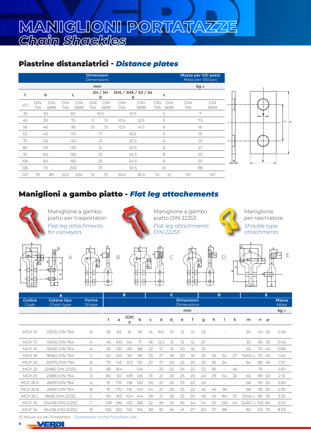### Piastrine distanziatrici - *Distance plates*

|      |                   |             |                   |             | <b>Dimensioni</b><br><b>Dimensions</b> |                    |                   |                          |            |                    |                   | Massa per 100 pezzi<br>Mass per 100 pcs |
|------|-------------------|-------------|-------------------|-------------|----------------------------------------|--------------------|-------------------|--------------------------|------------|--------------------|-------------------|-----------------------------------------|
|      |                   |             |                   |             | mm                                     |                    |                   |                          |            |                    |                   | $kg \cong$                              |
| t    |                   | b           |                   | L           |                                        | 2H / 3H<br>d       |                   | 3HS / 3HX / S3 / S4<br>d |            | s                  |                   |                                         |
| ±0.1 | <b>DIN</b><br>745 | DIN<br>5699 | <b>DIN</b><br>745 | DIN<br>5699 | <b>DIN</b><br>745                      | <b>DIN</b><br>5699 | <b>DIN</b><br>745 | <b>DIN</b><br>5699       | DIN<br>745 | <b>DIN</b><br>5699 | <b>DIN</b><br>745 | <b>DIN</b><br>5699                      |
| 35   |                   | 30          |                   | 65          |                                        | 10.5               |                   | 10.5                     |            | 5                  |                   | 7                                       |
| 45   |                   | 30          |                   | 75          | 11                                     | 13                 | 10.5              | 12.5                     |            | 5                  |                   | 7.5                                     |
| 56   |                   | 40          |                   | 95          | 13                                     | 15                 | 12.5              | 14.5                     |            | 6                  |                   | 16                                      |
| 63   |                   | 40          |                   | 110         |                                        | 17                 |                   | 16.5                     |            | 6                  |                   | 19                                      |
| 70   |                   | 50          |                   | 120         |                                        | 21                 |                   | 20.5                     |            | 6                  |                   | 25                                      |
| 80   |                   | 50          |                   | 130         |                                        | 21                 |                   | 20.5                     |            | 6                  |                   | 27                                      |
| 91   |                   | 60          |                   | 150         |                                        | 25                 |                   | 24.5                     |            | 8                  |                   | 50                                      |
| 105  |                   | 60          |                   | 165         |                                        | 25                 |                   | 24.5                     |            | 8                  |                   | 55                                      |
| 126  |                   | 70          |                   | 200         |                                        | 31                 |                   | 30.5                     |            | 10                 |                   | 98                                      |
| 147  | 70                | 80          | 220               | 230         | 31                                     | 37                 | 30.5              | 36.5                     | 10         | 12                 | 110               | 147                                     |



### Maniglioni a gambo piatto - *Flat leg attachements*



Maniglione a gambo piatto per trasportatori *Flat leg attachments for conveyors*



Maniglione a gambo piatto DIN 22253 *Flat leg attachments DIN 22253*



Maniglione per raschiatore *Shackle type attachments*









 $D$   $2$  $d_{1}$  t f lett letter i van de late som begin de late som begin van de late som begin van de late som begin van de lat<br>En 1905 van de late van de late som begin van de late som begin van de late som begin van de late som begin va<br> d $\mathsf{C}$  $\pi$ k م. A B E

b

|                     | A                         |                       |     |     | B              |     |    |      | C  |    |                                        |    |    | D                        |                          |                  |        | Е      |                             |
|---------------------|---------------------------|-----------------------|-----|-----|----------------|-----|----|------|----|----|----------------------------------------|----|----|--------------------------|--------------------------|------------------|--------|--------|-----------------------------|
| Codice<br>Code      | Catena tipo<br>Chain type | Forma<br><b>Shape</b> |     |     |                |     |    |      |    |    | <b>Dimensioni</b><br><b>Dimensions</b> |    |    |                          |                          |                  |        |        | <b>Massa</b><br><b>Mass</b> |
|                     |                           |                       |     |     |                |     |    |      |    |    | mm                                     |    |    |                          |                          |                  |        |        | $kg \cong$                  |
|                     |                           |                       | t   | a   | (GP)<br>a      | b   | c  | d    | d, | e  | f                                      | g  | h  |                          | k                        | m                | n p    |        |                             |
| <b>MGP 10</b>       | 10X35 DIN 764             | А                     | 35  | 82  | 51             | 55  | 14 | 8,5  | 10 | 12 | 10                                     | 22 |    |                          |                          | 25               | 40     | 30     | 0.26                        |
| MGP <sub>13</sub>   | 13X45 DIN 764             | А                     | 45  | 100 | 64             | 71  | 18 | 12,5 | 13 | 15 | 12                                     | 27 |    |                          |                          | 30               | 50 35  |        | 0.45                        |
| <b>MGP16</b>        | 16X56 DIN 764             | А                     | 56  | 130 | 86             | 88  | 22 | 17   | 16 | 20 | 16                                     | 32 |    |                          |                          | 45               |        | 70 40  | 0.85                        |
| MGP <sub>18</sub>   | 18X63 DIN 764             | C                     | 63  | 140 | 95             | 99  | 25 | 17   | 18 | 20 | 18                                     | 35 | 29 | 54                       | 27                       | $15/40$ (1)      | 70 40  |        | 1.40                        |
| MGP <sub>20</sub>   | 20X70 DIN 764             | B                     | 70  | 145 | 103            | 110 | 27 | 17   | 20 | 22 | 20                                     | 35 | 36 | 54                       |                          | 64               | 85     | 40     | 1.70                        |
| <b>MGP 22</b>       | 22X86 DIN 22252           | E                     | 86  | 164 | $\overline{a}$ | 134 |    | 25   | 22 | 24 | 22                                     | 52 | 36 | $\overline{\phantom{a}}$ | 46                       |                  | 75     | $\sim$ | 2.60                        |
| MGP <sub>23</sub>   | 23X80 DIN 764             | D                     | 80  | 50  | 109            | 126 | 31 | 21   | 23 | 25 | 20                                     | 40 | 29 | 54                       | 32                       | 65               |        | 89 50  | 2.10                        |
| MGP <sub>26</sub> A | 26X91 DIN 764             | А                     | 91  | 170 | 118            | 143 | 34 | 21   | 26 | 33 | 22                                     | 45 |    |                          |                          | 66               |        | 95 50  | 2.60                        |
| MGP 26B             | 26X91 DIN 764             | B                     | 91  | 170 | 116            | 143 | 34 | 21   | 26 | 33 | 22                                     | 45 | 45 | 56                       | $\overline{\phantom{a}}$ | 66               |        | 93 50  | 2.90                        |
| <b>MGP 26 C</b>     | 26x92 DIN 22252           | C                     | 92  | 163 | 104            | 144 | 28 | 21   | 26 | 33 | 20                                     | 48 | 45 | 84                       | 37                       | 15/45 (1)        | 80 55  |        | 3.30                        |
| <b>MGP 30</b>       | 30x108 DIN 22252          | C                     | 108 | 196 | 130            | 168 | 32 | 26   | 30 | 36 | 24                                     | 54 | 50 | 100                      | 40                       | 24/67 (1) 103 60 |        |        | 5.50                        |
| <b>MGP 34</b>       | 34x126 DIN 22252          | B                     | 126 | 222 | 152            | 194 | 38 | 32   | 34 | 41 | 27                                     | 60 | 57 | 88                       |                          | 82               | 122 70 |        | 8.50                        |

(1) Misure sui lati fronte/retro - *Dimensions on the front/rear side*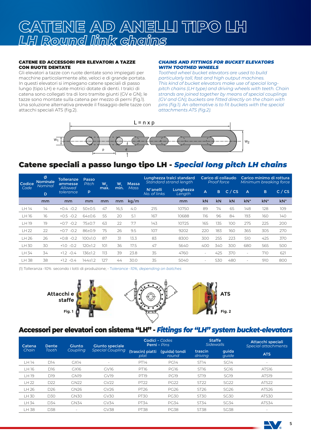# **CATENE AD ANELLI TIPO LH** *LH Round link chains*

### CATENE ED ACCESSORI PER ELEVATORI A TAZZE CON RUOTE DENTATE

Gli elevatori a tazze con ruote dentate sono impiegati per macchine particolarmente alte, veloci e di grande portata. In questi elevatori si impiegano catene speciali di passo lungo (tipo LH) e ruote motrici dotate di denti. I tralci di catena sono collegati tra di loro tramite giunti (GV e GN); le tazze sono montate sulla catena per mezzo di perni (fig.1). Una soluzione alternativa prevede il fissaggio delle tazze con attacchi speciali ATS (fig.2).

### *CHAINS AND FITTINGS FOR BUCKET ELEVATORS WITH TOOTHED WHEELS*

*Toothed wheel bucket elevators are used to build particularly tall, fast and high output machines. This kind of bucket elevators make use of special longpitch chains (LH type) and driving wheels with teeth. Chain strands are joined together by means of special couplings (GV and GN); buckets are fitted directly on the chain with pins (fig.1). An alternative is to fit buckets with the special attachments ATS (fig.2).*



### Catene speciali a passo lungo tipo LH - *Special long pitch LH chains*

| Codice | Ø<br>Nominale<br>Nominal | <b>Tolleranze</b><br>ammesse | Passo<br>Pitch | W,   | W,   | <b>Massa</b> |                          | Lunghezza tralci standard<br>Standard strand length |        | <b>Proof force</b> | Carico di collaudo |                          | Carico minimo di rottura<br>Minimum breaking force |        |
|--------|--------------------------|------------------------------|----------------|------|------|--------------|--------------------------|-----------------------------------------------------|--------|--------------------|--------------------|--------------------------|----------------------------------------------------|--------|
| Code   | D                        | Allowed<br>tolerance         | P              | max. | min. | <b>Mass</b>  | N°anelli<br>No. of links | Lunghezza<br>Length                                 | A      | B                  | C/CS               | $\overline{A}$           | B                                                  | C / CS |
|        | mm                       | mm                           | mm             | mm   | mm   | kg/m         |                          | mm                                                  | kN     | kN                 | kN                 | $kN^*$                   | $kN^*$                                             | $kN^*$ |
| LH 14  | 14                       | $-0.2$<br>$+0.4$             | $50 \pm 0.5$   | 47   | 16,5 | 4.0          | 215                      | 10750                                               | 89     | 74                 | 65                 | 148                      | 128                                                | 109    |
| LH 16  | 16                       | $-0.2$<br>$+0.5$             | $64 \pm 0.6$   | 55   | 20   | 5.1          | 167                      | 10688                                               | 116    | 96                 | 84                 | 193                      | 160                                                | 140    |
| LH 19  | 19                       | $+0.7$<br>$-0.2$             | 75±0.7         | 63   | 22   | 7.7          | 143                      | 10725                                               | 165    | 135                | 100                | 275                      | 225                                                | 200    |
| LH 22  | 22                       | $-0.2$<br>$+0.7$             | 86±0.9         | 75   | 26   | 9.5          | 107                      | 9202                                                | 220    | 183                | 160                | 365                      | 305                                                | 270    |
| LH 26  | 26                       | $-0.2$<br>$+0.8$             | $100+1.0$      | 87   | 31   | 13.3         | 83                       | 8300                                                | 300    | 255                | 223                | 510                      | 425                                                | 370    |
| LH 30  | 30                       | $-0.2$<br>$+1.0$             | 120±1.2        | 101  | 36   | 17.5         | 47                       | 5640                                                | 400    | 340                | 300                | 680                      | 565                                                | 500    |
| LH 34  | 34                       | $+1.2 -0.4$                  | 136±1.2        | 11.3 | 39   | 23.8         | 35                       | 4760                                                | $\sim$ | 425                | 370                | $\overline{\phantom{a}}$ | 710                                                | 621    |
| I H 38 | 38                       | $+1.2 - 0.4$                 | $144 + 12$     | 127  | 44   | 30.0         | 35                       | 5040                                                | ۰      | 530                | 480                | $\overline{\phantom{a}}$ | 910                                                | 800    |

(1) Tolleranza -10% secondo i lotti di produzione; - T*olerance -10%, depending on batches*



### Accessori per elevatori con sistema "LH" - *Fittings for "LH" system bucket-elevators*

| Catena          | Dente           | Giunto.          | <b>Giunto speciale</b>   | Codici - Codes           | Perni - Pins           | <b>Staffe</b><br>Sidewalls |                  | Attacchi speciali<br>Special attachments |
|-----------------|-----------------|------------------|--------------------------|--------------------------|------------------------|----------------------------|------------------|------------------------------------------|
| Chain           | Tooth           | Coupling         | <b>Special Coupling</b>  | (trascin) piatti<br>plat | (quida) tondi<br>round | trascin<br>driving         | quida<br>guide   | <b>ATS</b>                               |
| LH 14           | D14             | GX14             | $\overline{\phantom{a}}$ | PT14                     | <b>PG14</b>            | ST <sub>14</sub>           | SG <sub>14</sub> | $\overline{\phantom{a}}$                 |
| LH 16           | D16.            | GX16             | GV16                     | <b>PT16</b>              | <b>PG16</b>            | ST <sub>16</sub>           | SG <sub>16</sub> | ATS16                                    |
| H <sub>19</sub> | D19             | GN <sub>19</sub> | GV19                     | PT <sub>19</sub>         | <b>PG19</b>            | ST <sub>19</sub>           | SG <sub>19</sub> | ATS <sub>19</sub>                        |
| LH 22           | D <sub>22</sub> | <b>GN22</b>      | <b>GV22</b>              | <b>PT22</b>              | <b>PG22</b>            | <b>ST22</b>                | <b>SG22</b>      | ATS22                                    |
| LH 26           | D <sub>26</sub> | GN26             | GV26                     | PT26                     | <b>PG26</b>            | ST26                       | <b>SG26</b>      | ATS26                                    |
| LH 30           | D30             | <b>GN30</b>      | GV30                     | <b>PT30</b>              | <b>PG30</b>            | <b>ST30</b>                | <b>SG30</b>      | ATS30                                    |
| LH 34           | D34             | <b>GN34</b>      | GV34                     | PT34                     | <b>PG34</b>            | <b>ST34</b>                | <b>SG34</b>      | ATS34                                    |
| LH 38           | D38             |                  | GV38                     | <b>PT38</b>              | <b>PG38</b>            | <b>ST38</b>                | <b>SG38</b>      | ۰                                        |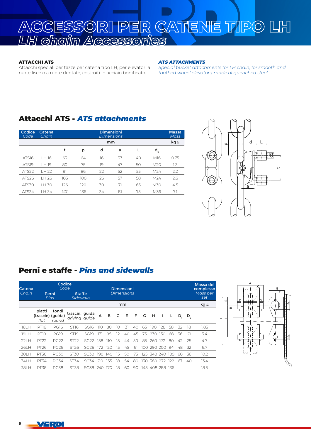# **ACCESSORI PER CATENE TIPO LH** *LH chain Accessories*

#### ATTACCHI ATS

Attacchi speciali per tazze per catena tipo LH, per elevatori a ruote lisce o a ruote dentate, costruiti in acciaio bonificato.

#### *ATS ATTACHMENTS*

*Special bucket attachments for LH chain, for smooth and toothed wheel elevators, made of quenched steel.*

### Attacchi ATS - *ATS attachments*

| Codice<br>Code    | Catena<br>Chain |     |     |    | <b>Dimensioni</b><br><b>Dimensions</b> |    |                 | <b>Massa</b><br><b>Mass</b> |
|-------------------|-----------------|-----|-----|----|----------------------------------------|----|-----------------|-----------------------------|
|                   |                 |     |     |    | mm                                     |    |                 | $kg \approx$                |
|                   |                 | t   | p   | d  | a                                      |    | ď               |                             |
| ATS16             | I H 16          | 63  | 64  | 16 | 37                                     | 40 | M16             | 0.75                        |
| ATS <sub>19</sub> | I H 19          | 80  | 75  | 19 | 47                                     | 50 | M20             | 1.3                         |
| ATS <sub>22</sub> | H22             | 91  | 86  | 22 | 52                                     | 55 | M <sub>24</sub> | 2.2                         |
| ATS <sub>26</sub> | IH 26           | 105 | 100 | 26 | 57                                     | 58 | M <sub>24</sub> | 2.6                         |
| ATS30             | I H 30          | 126 | 120 | 30 | 71                                     | 65 | M30             | 4.5                         |
| ATS34             | 34<br>TН        | 147 | 136 | 34 | 81                                     | 75 | M36             | 7.1                         |



### Perni e staffe - *Pins and sidewalls*

| Catena<br>Chain |                                     | Codice<br>Code<br>Perni<br><b>Pins</b> | <b>Staffe</b><br>Sidewalls      |                  |     |     |    | <b>Dimensioni</b><br><b>Dimensions</b> |    |         |                 |             |     |    |         | Massa del<br>complesso<br>Mass per<br>set |
|-----------------|-------------------------------------|----------------------------------------|---------------------------------|------------------|-----|-----|----|----------------------------------------|----|---------|-----------------|-------------|-----|----|---------|-------------------------------------------|
|                 |                                     |                                        |                                 |                  |     |     |    | mm                                     |    |         |                 |             |     |    |         | $kg \approx$                              |
|                 | piatti<br>(trascin) (guida)<br>flat | tondi<br>round                         | trascin. guida<br>driving quide |                  | A   | в   | C  | E                                      | F  | - G     | - H             |             | L   | D, | $D_{2}$ |                                           |
| 16LH            | <b>PT16</b>                         | <b>PG16</b>                            | ST16                            | SG16             | 110 | 80  | 10 | 31                                     | 40 | 65      | 190             | 128         | 58  | 32 | 18      | 1.85                                      |
| 191 H           | PT <sub>19</sub>                    | <b>PG19</b>                            | <b>ST19</b>                     | SG <sub>19</sub> | 131 | 95  | 12 | 40                                     | 45 | 75      | 230             | 150         | 68  | 36 | 21      | 3.4                                       |
| 221 H           | PT <sub>22</sub>                    | <b>PG22</b>                            | ST <sub>22</sub>                | <b>SG22</b>      | 158 | 110 | 15 | 44                                     | 50 | 85      | 260             | 172         | 80  | 42 | 25      | 4.7                                       |
| 261 H           | PT <sub>26</sub>                    | PG <sub>26</sub>                       | ST <sub>26</sub>                | SG26             | 172 | 120 | 15 | 45                                     | 61 | 100.    |                 | 290 200     | 94  | 48 | 32      | 6.7                                       |
| 30LH            | <b>PT30</b>                         | <b>PG30</b>                            | ST30                            | <b>SG30</b>      | 190 | 140 | 15 | 50                                     | 75 | $125 -$ |                 | 340 240 109 |     | 60 | 36      | 10.2                                      |
| 34LH            | PT34                                | PG34                                   | ST34                            | SG34             | 210 | 155 | 18 | 54                                     | 80 | 130     | 380             | 272         | 122 | 67 | 40      | 13.4                                      |
| 381 H           | <b>PT38</b>                         | <b>PG38</b>                            | ST38                            | SG38             | 240 | 170 | 18 | 60                                     | 90 |         | 145 408 288 136 |             |     |    |         | 18.5                                      |



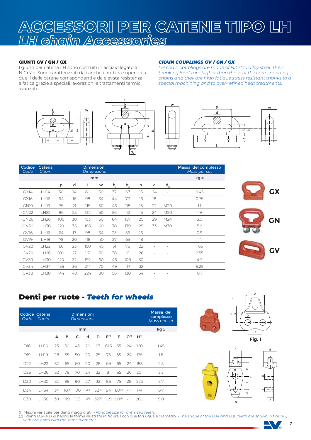# **ACCESSORI PER CATENE TIPO LH** *LH chain Accessories*

### GIUNTI GV / GN / GX

I giunti per catena LH sono costruiti in acciaio legato al NiCrMo. Sono caratterizzati da carichi di rottura superiori a quelli delle catene corrispondenti e da elevata resistenza a fatica grazie a speciali lavorazioni e trattamenti termici avanzati.





#### *CHAIN COUPLINGS GV / GN / GX*

*LH chain couplings are made of NiCrMo alloy steel. Their breaking loads are higher than those of the corresponding chains and they are high fatigue stress resistant thanks to a special machining and to over-refined heat treatments.*



| Codice<br>Code | Catena<br>Chain  |     |    | <b>Dimensioni</b> | <b>Dimensions</b> |       |                                             |    |                          |                 | Massa del complesso<br>Mass per set |
|----------------|------------------|-----|----|-------------------|-------------------|-------|---------------------------------------------|----|--------------------------|-----------------|-------------------------------------|
|                |                  |     |    | mm                |                   |       |                                             |    |                          |                 | $kg \cong$                          |
|                |                  | p   | d  | L                 | W                 | $b_i$ | $\mathsf{b}_{\scriptscriptstyle{\text{e}}}$ | s  | a                        | d <sub>2</sub>  |                                     |
| GX14           | LH14             | 50  | 14 | 80                | 30                | 37    | 67                                          | 15 | 24                       | ÷               | 0.45                                |
| GX16           | <b>LH16</b>      | 64  | 16 | 98                | 34                | 44    | 77                                          | 16 | 18                       | ÷               | 0.75                                |
| <b>GN19</b>    | <b>LH19</b>      | 75  | 21 | 115               | 50                | 46    | 118                                         | 15 | 22                       | M <sub>20</sub> | 1.1                                 |
| <b>GN22</b>    | <b>LH22</b>      | 86  | 25 | 132               | 50                | 56    | 131                                         | 15 | 24                       | M20             | 1.9                                 |
| GN26           | LH <sub>26</sub> | 100 | 30 | 153               | 50                | 64    | 157                                         | 20 | 29                       | M24             | 3.0                                 |
| <b>GN30</b>    | LH30             | 120 | 35 | 185               | 60                | 78    | 179                                         | 25 | 33                       | M30             | 5.2                                 |
| GV16           | <b>LH16</b>      | 64  | 17 | 98                | 34                | 23    | 56                                          | 16 | $\overline{\phantom{a}}$ |                 | 0.9                                 |
| GV19           | <b>LH19</b>      | 75  | 20 | 118               | 40                | 27    | 65                                          | 18 | ۰                        |                 | 1.4                                 |
| <b>GV22</b>    | LH22             | 86  | 23 | 150               | 45                | 31    | 76                                          | 22 |                          |                 | 1.65                                |
| GV26           | LH26             | 100 | 27 | 161               | 50                | 38    | 91                                          | 26 | $\overline{\phantom{a}}$ | ٠               | 2.55                                |
| GV30           | <b>LH30</b>      | 120 | 32 | 192               | 60                | 46    | 108                                         | 30 |                          |                 | 4.3                                 |
| GV34           | LH34             | 136 | 36 | 214               | 70                | 49    | 117                                         | 32 |                          |                 | 6.25                                |
| GV38           | <b>LH38</b>      | 144 | 40 | 224               | 80                | 56    | 130                                         | 34 |                          |                 | 8.1                                 |

**GX**





### Denti per ruote - *Teeth for wheels*

| Code            | Codice Catena<br>Chain |    |     | <b>Dimensioni</b><br><b>Dimensions</b> |     |            |           |            |                  |           | Massa del<br>complesso<br>Mass per set |
|-----------------|------------------------|----|-----|----------------------------------------|-----|------------|-----------|------------|------------------|-----------|----------------------------------------|
|                 |                        |    |     | mm                                     |     |            |           |            |                  |           | $kg \approx$                           |
|                 |                        | A  | в   | C                                      | d   | D          | $E^{(1)}$ | F          | G <sub>(1)</sub> | $H^{(1)}$ |                                        |
| D <sub>16</sub> | 1 H16                  | 25 | 50  | 43                                     | 20  | 23         | 61.5      | 55         | 24               | 160       | 1.45                                   |
| D19             | 1 H <sub>19</sub>      | 28 | 55  | 50                                     | 20  | 25         | 75        | 55         | 24               | 175       | 1.8                                    |
| D <sub>22</sub> | I H <sub>22</sub>      | 32 | 65  | 60                                     | 20  | 28         | 69        | 65         | 24               | 183       | 2.5                                    |
| D <sub>26</sub> | I H <sub>26</sub>      | 32 | 78  | 70                                     | 24  | 32         | 81        | 65         | 26               | -201      | 3.3                                    |
| D30             | I H30                  | 32 | 98  | 90                                     | 27  | 32         | 86        | 75         | 28               | 223       | 5.7                                    |
| D34             | LH34                   | 34 | 107 | 100                                    | (2) | $32^{(2)}$ | 94        | $80^{(2)}$ | (2)              | 174       | 6.7                                    |
| D38             | I H38                  | 38 | 119 | 105                                    | (2) | $32^{(2)}$ | 109       | $90^{(2)}$ | (2)              | 200       | 9.8                                    |





(1) Misura variabile per denti maggiorati. - *Variable size for oversized teeth.*<br>(2) I denti D34 e D38 hanno la forma illustrata in figura 1 con due fori uguale diametro. - *The shape of the D34 and D38 teeth are shown in with two holes with the same diameter.*

*.*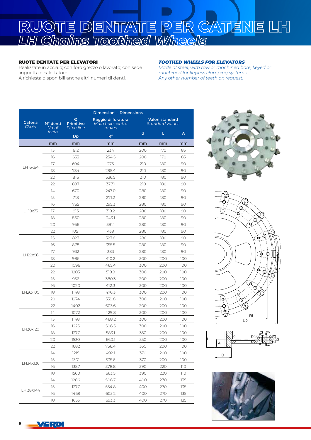# **RUOTE DENTATE PER CATENE LH** *LH Chains Toothed Wheels*

#### RUOTE DENTATE PER ELEVATORI

Realizzate in acciaio; con foro grezzo o lavorato; con sede linguetta o calettatore. A richiesta disponibili anche altri numeri di denti.

#### *TOOTHED WHEELS FOR ELEVATORS*

*Made of steel; with raw or machined bore, keyed or machined for keyless clamping systems. Any other number of teeth on request.*

|                 |                    |                                     | <b>Dimensioni - Dimensions</b>                   |     |                                           |                                                                                                                 |  |  |  |
|-----------------|--------------------|-------------------------------------|--------------------------------------------------|-----|-------------------------------------------|-----------------------------------------------------------------------------------------------------------------|--|--|--|
| Catena<br>Chain | N° denti<br>No. of | ø<br>Primitivo<br><b>Pitch line</b> | Raggio di foratura<br>Main hole centre<br>radius |     | Valori standard<br><b>Standard values</b> |                                                                                                                 |  |  |  |
|                 | teeth              | Dp                                  | <b>Rf</b>                                        | d   | L                                         | A                                                                                                               |  |  |  |
|                 | mm                 | mm                                  | mm                                               | mm  | mm                                        | mm                                                                                                              |  |  |  |
|                 | 15                 | 612                                 | 234                                              | 200 | 170                                       | 85                                                                                                              |  |  |  |
|                 | 16                 | 653                                 | 254.5                                            | 200 | 170                                       | 85                                                                                                              |  |  |  |
|                 | 17                 | 694                                 | 275                                              | 210 | 180                                       | 90                                                                                                              |  |  |  |
| LH16x64         | 18                 | 734                                 | 295.4                                            | 210 | 180                                       | 90                                                                                                              |  |  |  |
|                 | 20                 | 816                                 | 336.5                                            | 210 | 180                                       | 90                                                                                                              |  |  |  |
|                 | 22                 | 897                                 | 377.1                                            | 210 | 180                                       | 90<br>90<br>90<br>90<br>90<br>90<br>90<br>90<br>90<br>90<br>90<br>100<br>100<br>100<br>100<br>100<br>100<br>100 |  |  |  |
|                 | 14                 | 670                                 | 247.0                                            | 280 | 180                                       |                                                                                                                 |  |  |  |
|                 | 15                 | 718                                 | 271.2                                            | 280 | 180                                       |                                                                                                                 |  |  |  |
|                 | 16                 | 765                                 | 295.3                                            | 280 | 180                                       | 100<br>100<br>100<br>100<br>100<br>100<br>100<br>100<br>100<br>110<br>110<br>135<br>135<br>135<br>135           |  |  |  |
| I H19x75        | 17                 | 813                                 | 319.2                                            | 280 | 180                                       |                                                                                                                 |  |  |  |
|                 | 18                 | 860                                 | 343.1                                            | 280 | 180                                       |                                                                                                                 |  |  |  |
|                 | 20                 | 956                                 | 391.1                                            | 280 | 180                                       |                                                                                                                 |  |  |  |
|                 | 22                 | 1051                                | 439                                              | 280 | 180                                       |                                                                                                                 |  |  |  |
|                 | 15                 | 823                                 | 327.8                                            | 280 | 180                                       |                                                                                                                 |  |  |  |
|                 | 16                 | 878                                 | 355.5                                            | 280 | 180                                       |                                                                                                                 |  |  |  |
|                 | 17                 | 932                                 | 383                                              | 280 | 180                                       |                                                                                                                 |  |  |  |
| LH22x86         | 18                 | 986                                 | 410.2                                            | 300 | 200                                       |                                                                                                                 |  |  |  |
|                 | 20                 | 1096                                | 465.4                                            | 300 | 200                                       |                                                                                                                 |  |  |  |
|                 | 22                 | 1205                                | 519.9                                            | 300 | 200<br>200<br>200                         |                                                                                                                 |  |  |  |
|                 | 15                 | 956                                 | 380.3                                            | 300 |                                           |                                                                                                                 |  |  |  |
|                 | 16                 | 1020                                | 412.3                                            | 300 |                                           |                                                                                                                 |  |  |  |
| LH26x100        | 18                 | 1148                                | 476.3                                            | 300 | 200                                       |                                                                                                                 |  |  |  |
|                 | 20                 | 1274                                | 539.8                                            | 300 | 200                                       |                                                                                                                 |  |  |  |
|                 | 22                 | 1402                                | 603.6                                            | 300 | 200                                       |                                                                                                                 |  |  |  |
|                 | 14                 | 1072                                | 429.8                                            | 300 | 200                                       |                                                                                                                 |  |  |  |
|                 | 15                 | 1148                                | 468.2                                            | 300 | 200                                       |                                                                                                                 |  |  |  |
| LH30x120        | 16                 | 1225                                | 506.5                                            | 300 | 200                                       |                                                                                                                 |  |  |  |
|                 | 18                 | 1377                                | 583.1                                            | 350 | 200                                       |                                                                                                                 |  |  |  |
|                 | 20                 | 1530                                | 660.1                                            | 350 | 200                                       |                                                                                                                 |  |  |  |
|                 | 22                 | 1682                                | 736.4                                            | 350 | 200                                       |                                                                                                                 |  |  |  |
|                 | 14                 | 1215                                | 492.1                                            | 370 | 200                                       |                                                                                                                 |  |  |  |
|                 | 15                 | 1301                                | 535.6                                            | 370 | 200                                       |                                                                                                                 |  |  |  |
| LH34X136        | 16                 | 1387                                | 578.8                                            | 390 | 220                                       |                                                                                                                 |  |  |  |
|                 | 18                 | 1560                                | 663.5                                            | 390 | 220                                       |                                                                                                                 |  |  |  |
|                 | 14                 | 1286                                | 508.7                                            | 400 | 270                                       |                                                                                                                 |  |  |  |
|                 | 15                 | 1377                                | 554.8                                            | 400 | 270                                       |                                                                                                                 |  |  |  |
| LH 38X144       | 16                 | 1469                                | 603.2                                            | 400 | 270                                       |                                                                                                                 |  |  |  |
|                 | 18                 | 1653                                | 693.3                                            | 400 | 270                                       |                                                                                                                 |  |  |  |







VERD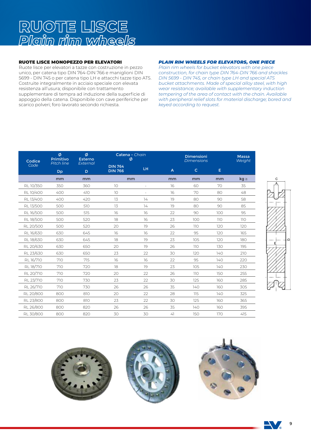# **RUOTE LISCE** *Plain rim wheels*

### RUOTE LISCE MONOPEZZO PER ELEVATORI

Ruote lisce per elevatori a tazze con costruzione in pezzo unico, per catena tipo DIN 764-DIN 766 e maniglioni DIN 5699 - DIN 745 o per catena tipo LH e attacchi tazze tipo ATS. Costruite integralmente in acciaio speciale con elevata resistenza all'usura; disponibile con trattamento supplementare di tempra ad induzione della superficie di appoggio della catena. Disponibile con cave periferiche per scarico polveri; foro lavorato secondo richiesta.

### *PLAIN RIM WHEELS FOR ELEVATORS, ONE PIECE*

*Plain rim wheels for bucket elevators with one piece construction, for chain type DIN 764-DIN 766 and shackles DIN 5699 - DIN 745, or chain type LH and special ATS bucket attachments. Made of special alloy steel, with high wear resistance; available with supplementary induction tempering of the area of contact with the chain. Available with peripheral relief slots for material discharge; bored and keyed according to request.*

| Codice    | Ø<br>Primitivo<br><b>Pitch line</b> | Ø<br><b>Esterno</b><br>External | Catena - Chain<br>Ø              |    |    | <b>Dimensioni</b><br><b>Dimensions</b> |     |              |  |  |  |
|-----------|-------------------------------------|---------------------------------|----------------------------------|----|----|----------------------------------------|-----|--------------|--|--|--|
| Code      | <b>Dp</b>                           | D                               | <b>DIN 764</b><br><b>DIN 766</b> | LH | A  | $\mathsf{C}$                           | E.  |              |  |  |  |
|           | mm                                  | mm                              | mm                               |    | mm | mm                                     | mm  | $kg \approx$ |  |  |  |
| RL10/350  | 350                                 | 360                             | 10                               |    | 16 | 60                                     | 70  | 35           |  |  |  |
| RL10/400  | 400                                 | 410                             | 10                               |    | 16 | 70                                     | 80  | 48           |  |  |  |
| RL13/400  | 400                                 | 420                             | 13                               | 14 | 19 | 80                                     | 90  | 58           |  |  |  |
| RL13/500  | 500                                 | 510                             | 13                               | 14 | 19 | 80                                     | 90  | 85           |  |  |  |
| RL16/500  | 500                                 | 515                             | 16                               | 16 | 22 | 90                                     | 100 | 95           |  |  |  |
| RL18/500  | 500                                 | 520                             | 18                               | 16 | 23 | 100                                    | 110 | 110          |  |  |  |
| RL 20/500 | 500                                 | 520                             | 20                               | 19 | 26 | 110                                    | 120 | 120          |  |  |  |
| RL16/630  | 630                                 | 645                             | 16                               | 16 | 22 | 95                                     | 120 | 165          |  |  |  |
| RL18/630  | 630                                 | 645                             | 18                               | 19 | 23 | 105                                    | 120 | 180          |  |  |  |
| RL 20/630 | 630                                 | 650                             | 20                               | 19 | 26 | 110                                    | 130 | 195          |  |  |  |
| RL 23/630 | 630                                 | 650                             | 23                               | 22 | 30 | 120                                    | 140 | 210          |  |  |  |
| RL16/710  | 710                                 | 715                             | 16                               | 16 | 22 | 95                                     | 140 | 220          |  |  |  |
| RL18/710  | 710                                 | 720                             | 18                               | 19 | 23 | 105                                    | 140 | 230          |  |  |  |
| RL 20/710 | 710                                 | 720                             | 20                               | 22 | 26 | 110                                    | 150 | 255          |  |  |  |
| RL 23/710 | 710                                 | 730                             | 23                               | 22 | 30 | 125                                    | 160 | 285          |  |  |  |
| RL 26/710 | 710                                 | 730                             | 26                               | 26 | 35 | 140                                    | 160 | 305          |  |  |  |
| RL 20/800 | 800                                 | 810                             | 20                               | 22 | 28 | 115                                    | 140 | 325          |  |  |  |
| RL 23/800 | 800                                 | 810                             | 23                               | 22 | 30 | 125                                    | 160 | 365          |  |  |  |
| RL 26/800 | 800                                 | 820                             | 26                               | 26 | 35 | 140                                    | 160 | 395          |  |  |  |
| RL 30/800 | 800                                 | 820                             | 30                               | 30 | 41 | 150                                    | 170 | 415          |  |  |  |





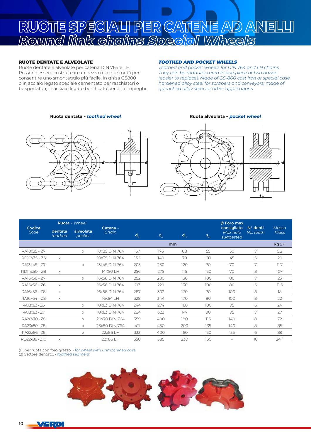# **RUOTE SPECIALI PER CATENE AD ANELLI** *Round link chains Special Wheels*

#### RUOTE DENTATE E ALVEOLATE

Ruote dentate e alveolate per catena DIN 764 e LH. Possono essere costruite in un pezzo o in due metà per consentire uno smontaggio più facile. In ghisa GS800 o in acciaio legato speciale cementato per raschiatori o trasportatori; in acciaio legato bonificato per altri impieghi.

#### *TOOTHED AND POCKET WHEELS*

*Toothed and pocket wheels for DIN 764 and LH chains. They can be manufactured in one piece or two halves (easier to replace). Made of GS-800 cast iron or special case hardened alloy steel for scrapers and conveyors; made of quenched alloy steel for other applications.*

#### **Ruota dentata -** *toothed wheel* **Ruota alveolata -** *pocket wheel*





|                |                    | Ruota - Wheel       |                   |             |       |       |       | $\emptyset$ Foro max                 |                                |                             |  |
|----------------|--------------------|---------------------|-------------------|-------------|-------|-------|-------|--------------------------------------|--------------------------------|-----------------------------|--|
| Codice<br>Code | dentata<br>toothed | alveolata<br>pocket | Catena -<br>Chain | $d_{\rm p}$ | $d_e$ | $d_m$ | $S_m$ | consigliato<br>Max hole<br>suggested | $N^{\circ}$ denti<br>No. teeth | Massa<br><b>Mass</b>        |  |
|                |                    |                     |                   |             | mm    |       |       |                                      |                                | $kg \approx$ <sup>(1)</sup> |  |
| RA10x35 - Z7   |                    | $\times$            | 10x35 DIN 764     | 157         | 176   | 88    | 55    | 50                                   | 7                              | 5.2                         |  |
| RD10x35 - Z6   | $\times$           |                     | 10x35 DIN 764     | 136         | 140   | 70    | 60    | 45                                   | 6                              | 2.1                         |  |
| RA13x45 - Z7   |                    | $\times$            | 13x45 DIN 764     | 203         | 230   | 120   | 70    | 70                                   | 7                              | 11.7                        |  |
| RD14x50 - Z8   | $\times$           |                     | 14X50 LH          | 256         | 275   | 115   | 130   | 70                                   | 8                              | $10^{(2)}$                  |  |
| RA16x56 - Z7   |                    | $\times$            | 16x56 DIN 764     | 252         | 280   | 130   | 100   | 80                                   | 7                              | 23                          |  |
| RA16x56 - Z6   | $\times$           |                     | 16x56 DIN 764     | 217         | 229   | 130   | 100   | 80                                   | 6                              | 11.5                        |  |
| RA16x56 - Z8   | $\times$           |                     | 16x56 DIN 764     | 287         | 302   | 170   | 70    | 100                                  | 8                              | 18                          |  |
| RA16x64 - Z8   | $\times$           |                     | 16x64 LH          | 328         | 344   | 170   | 80    | 100                                  | 8                              | 22                          |  |
| RA18x63 - 76   |                    | $\times$            | 18x63 DIN 764     | 244         | 274   | 168   | 100   | 95                                   | 6                              | 24                          |  |
| RA18x63 - Z7   |                    | $\times$            | 18x63 DIN 764     | 284         | 322   | 147   | 90    | 95                                   | 7                              | 27                          |  |
| RA20x70 - Z8   |                    | $\times$            | 20x70 DIN 764     | 359         | 400   | 180   | 115   | 140                                  | 8                              | 72                          |  |
| RA23x80 - Z8   |                    | $\times$            | 23x80 DIN 764     | 411         | 450   | 200   | 135   | 140                                  | 8                              | 85                          |  |
| RA22x86 - Z6   |                    | $\times$            | 22x86 LH          | 333         | 400   | 160   | 130   | 135                                  | 6                              | 89                          |  |
| RD22x86 - Z10  | $\times$           |                     | 22x86 LH          | 550         | 585   | 230   | 160   | $\sim$                               | 10                             | $24^{(2)}$                  |  |

(1) per ruota con foro grezzo. - *for wheel with unmachined bore.* (2) Settore dentato. *- toothed segment*

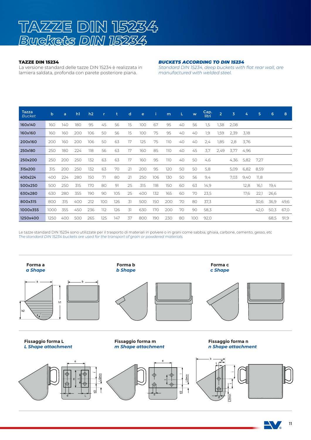

#### TAZZE DIN 15234

La versione standard delle tazze DIN 15234 è realizzata in lamiera saldata, profonda con parete posteriore piana.

#### *BUCKETS ACCORDING TO DIN 15234*

*Standard DIN 15234, deep buckets with flat rear wall, are manufactured with welded steel.*

| <b>Tazza</b><br><b>Bucket</b> | b    | a   | h <sub>1</sub> | h2  | r   | t   | d  | $\mathbf{e}$ |     | m   | L. | W   | Cap.<br>litri | $\overline{2}$ | 3    | 4    | 5    | 6    | 8    |
|-------------------------------|------|-----|----------------|-----|-----|-----|----|--------------|-----|-----|----|-----|---------------|----------------|------|------|------|------|------|
| 160x140                       | 160  | 140 | 180            | 95  | 45  | 56  | 15 | 100          | 67  | 95  | 40 | 56  | 1,5           | 1,38           | 2,08 |      |      |      |      |
| 160x160                       | 160  | 160 | 200            | 106 | 50  | 56  | 15 | 100          | 75  | 95  | 40 | 40  | 1.9           | 1,59           | 2.39 | 3,18 |      |      |      |
| 200x160                       | 200  | 160 | 200            | 106 | 50  | 63  | 17 | 125          | 75  | 110 | 40 | 40  | 2.4           | 1,85           | 2.8  | 3,76 |      |      |      |
| 250x180                       | 250  | 180 | 224            | 118 | 56  | 63  | 17 | 160          | 85  | 110 | 40 | 45  | 3,7           | 2,49           | 3.77 | 4,96 |      |      |      |
| 250x200                       | 250  | 200 | 250            | 132 | 63  | 63  | 17 | 160          | 95  | 110 | 40 | 50  | 4,6           |                | 4,36 | 5,82 | 7,27 |      |      |
| 315x200                       | 315  | 200 | 250            | 132 | 63  | 70  | 21 | 200          | 95  | 120 | 50 | 50  | 5,8           |                | 5,09 | 6,82 | 8,59 |      |      |
| 400x224                       | 400  | 224 | 280            | 150 | 71  | 80  | 21 | 250          | 106 | 130 | 50 | 56  | 9,4           |                | 7.03 | 9,40 | 11,8 |      |      |
| 500x250                       | 500  | 250 | 315            | 170 | 80  | 91  | 25 | 315          | 118 | 150 | 60 | 63  | 14,9          |                |      | 12,8 | 16,1 | 19,4 |      |
| 630x280                       | 630  | 280 | 355            | 190 | 90  | 105 | 25 | 400          | 132 | 165 | 60 | 70  | 23,5          |                |      | 17,6 | 22,1 | 26,6 |      |
| 800x315                       | 800  | 315 | 400            | 212 | 100 | 126 | 31 | 500          | 150 | 200 | 70 | 80  | 37,3          |                |      |      | 30,6 | 36,9 | 49,6 |
| 1000x355                      | 1000 | 355 | 450            | 236 | 112 | 126 | 31 | 630          | 170 | 200 | 70 | 90  | 58,3          |                |      |      | 42,0 | 50,3 | 67,0 |
| 1250x400                      | 1250 | 400 | 500            | 265 | 125 | 147 | 37 | 800          | 190 | 230 | 80 | 100 | 92,0          |                |      |      |      | 68,5 | 91,9 |

Le tazze standard DIN 15234 sono utilizzate per il trasporto di materiali in polvere o in grani come sabbia, ghiaia, carbone, cemento, gesso, etc *The standard DIN 15234 buckets are used for the transport of grain or powdered materials.*